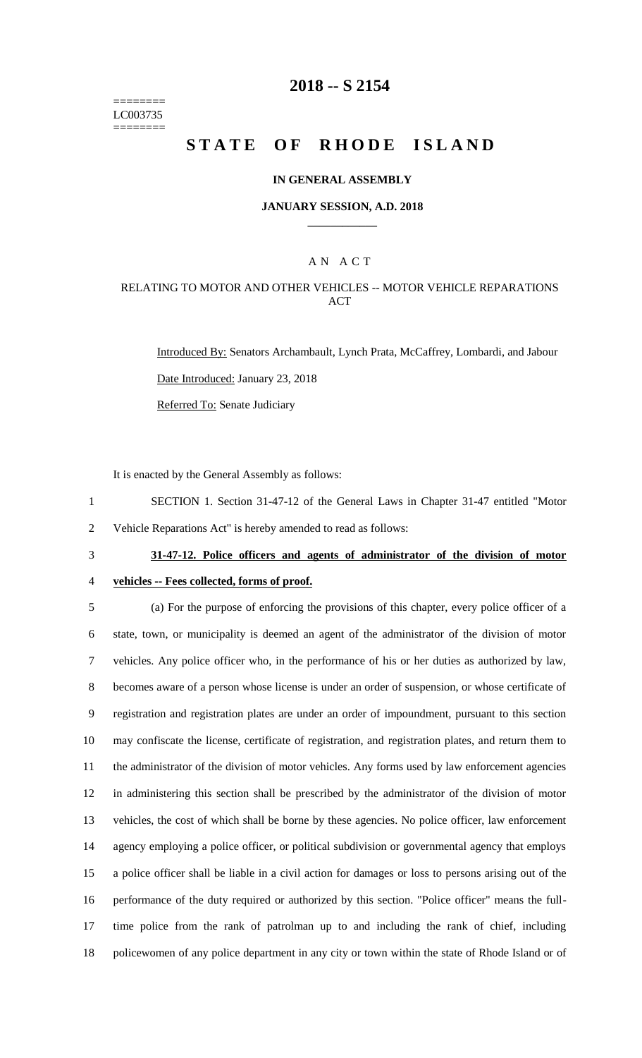======== LC003735 ========

# **2018 -- S 2154**

# **STATE OF RHODE ISLAND**

#### **IN GENERAL ASSEMBLY**

#### **JANUARY SESSION, A.D. 2018 \_\_\_\_\_\_\_\_\_\_\_\_**

## A N A C T

## RELATING TO MOTOR AND OTHER VEHICLES -- MOTOR VEHICLE REPARATIONS ACT

Introduced By: Senators Archambault, Lynch Prata, McCaffrey, Lombardi, and Jabour Date Introduced: January 23, 2018 Referred To: Senate Judiciary

It is enacted by the General Assembly as follows:

1 SECTION 1. Section 31-47-12 of the General Laws in Chapter 31-47 entitled "Motor 2 Vehicle Reparations Act" is hereby amended to read as follows:

3 **31-47-12. Police officers and agents of administrator of the division of motor** 

### 4 **vehicles -- Fees collected, forms of proof.**

 (a) For the purpose of enforcing the provisions of this chapter, every police officer of a state, town, or municipality is deemed an agent of the administrator of the division of motor vehicles. Any police officer who, in the performance of his or her duties as authorized by law, becomes aware of a person whose license is under an order of suspension, or whose certificate of registration and registration plates are under an order of impoundment, pursuant to this section may confiscate the license, certificate of registration, and registration plates, and return them to the administrator of the division of motor vehicles. Any forms used by law enforcement agencies in administering this section shall be prescribed by the administrator of the division of motor vehicles, the cost of which shall be borne by these agencies. No police officer, law enforcement agency employing a police officer, or political subdivision or governmental agency that employs a police officer shall be liable in a civil action for damages or loss to persons arising out of the performance of the duty required or authorized by this section. "Police officer" means the full- time police from the rank of patrolman up to and including the rank of chief, including policewomen of any police department in any city or town within the state of Rhode Island or of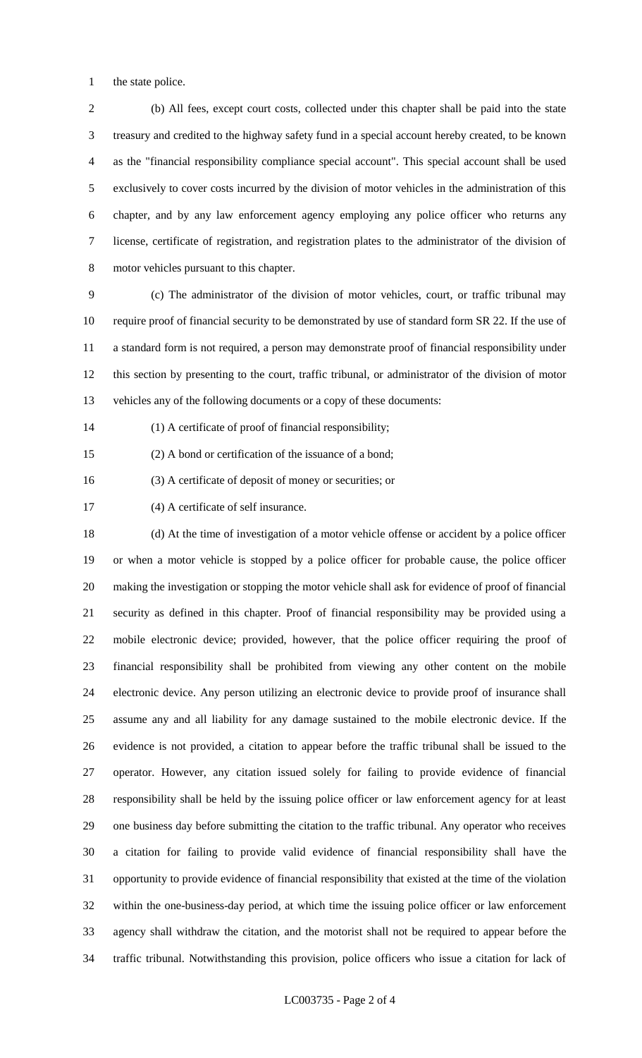the state police.

 (b) All fees, except court costs, collected under this chapter shall be paid into the state treasury and credited to the highway safety fund in a special account hereby created, to be known as the "financial responsibility compliance special account". This special account shall be used exclusively to cover costs incurred by the division of motor vehicles in the administration of this chapter, and by any law enforcement agency employing any police officer who returns any license, certificate of registration, and registration plates to the administrator of the division of motor vehicles pursuant to this chapter.

 (c) The administrator of the division of motor vehicles, court, or traffic tribunal may require proof of financial security to be demonstrated by use of standard form SR 22. If the use of a standard form is not required, a person may demonstrate proof of financial responsibility under this section by presenting to the court, traffic tribunal, or administrator of the division of motor vehicles any of the following documents or a copy of these documents:

(1) A certificate of proof of financial responsibility;

(2) A bond or certification of the issuance of a bond;

(3) A certificate of deposit of money or securities; or

(4) A certificate of self insurance.

 (d) At the time of investigation of a motor vehicle offense or accident by a police officer or when a motor vehicle is stopped by a police officer for probable cause, the police officer making the investigation or stopping the motor vehicle shall ask for evidence of proof of financial security as defined in this chapter. Proof of financial responsibility may be provided using a mobile electronic device; provided, however, that the police officer requiring the proof of financial responsibility shall be prohibited from viewing any other content on the mobile electronic device. Any person utilizing an electronic device to provide proof of insurance shall assume any and all liability for any damage sustained to the mobile electronic device. If the evidence is not provided, a citation to appear before the traffic tribunal shall be issued to the operator. However, any citation issued solely for failing to provide evidence of financial responsibility shall be held by the issuing police officer or law enforcement agency for at least one business day before submitting the citation to the traffic tribunal. Any operator who receives a citation for failing to provide valid evidence of financial responsibility shall have the opportunity to provide evidence of financial responsibility that existed at the time of the violation within the one-business-day period, at which time the issuing police officer or law enforcement agency shall withdraw the citation, and the motorist shall not be required to appear before the traffic tribunal. Notwithstanding this provision, police officers who issue a citation for lack of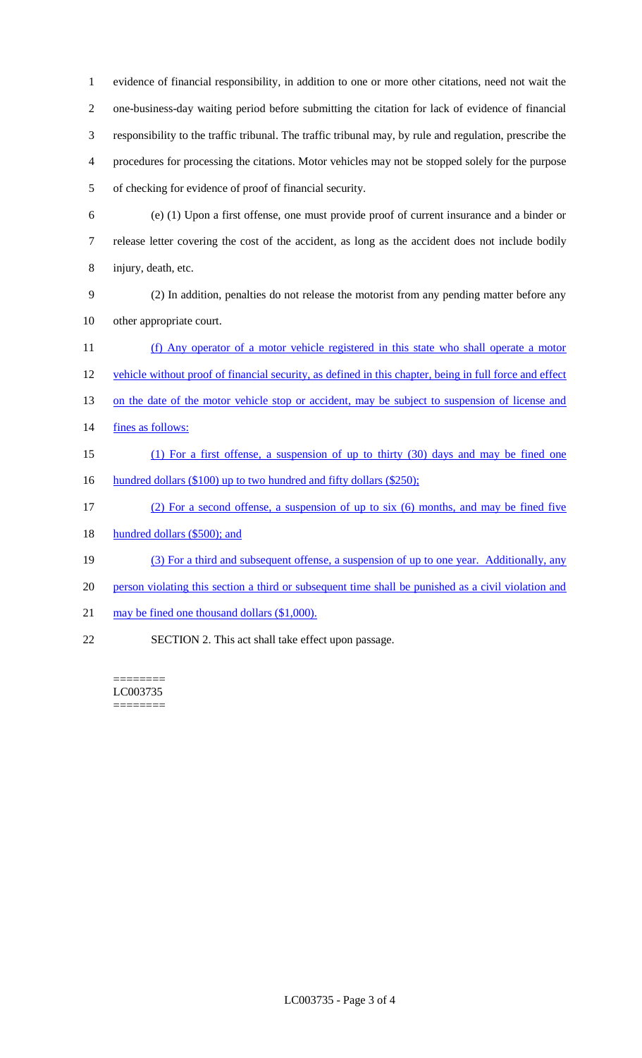evidence of financial responsibility, in addition to one or more other citations, need not wait the one-business-day waiting period before submitting the citation for lack of evidence of financial responsibility to the traffic tribunal. The traffic tribunal may, by rule and regulation, prescribe the procedures for processing the citations. Motor vehicles may not be stopped solely for the purpose of checking for evidence of proof of financial security.

- (e) (1) Upon a first offense, one must provide proof of current insurance and a binder or release letter covering the cost of the accident, as long as the accident does not include bodily injury, death, etc.
- (2) In addition, penalties do not release the motorist from any pending matter before any other appropriate court.
- (f) Any operator of a motor vehicle registered in this state who shall operate a motor vehicle without proof of financial security, as defined in this chapter, being in full force and effect 13 on the date of the motor vehicle stop or accident, may be subject to suspension of license and 14 fines as follows: (1) For a first offense, a suspension of up to thirty (30) days and may be fined one 16 hundred dollars (\$100) up to two hundred and fifty dollars (\$250); (2) For a second offense, a suspension of up to six (6) months, and may be fined five

18 hundred dollars (\$500); and

- (3) For a third and subsequent offense, a suspension of up to one year. Additionally, any
- 20 person violating this section a third or subsequent time shall be punished as a civil violation and
- 21 may be fined one thousand dollars (\$1,000).
- SECTION 2. This act shall take effect upon passage.

======== LC003735 ========